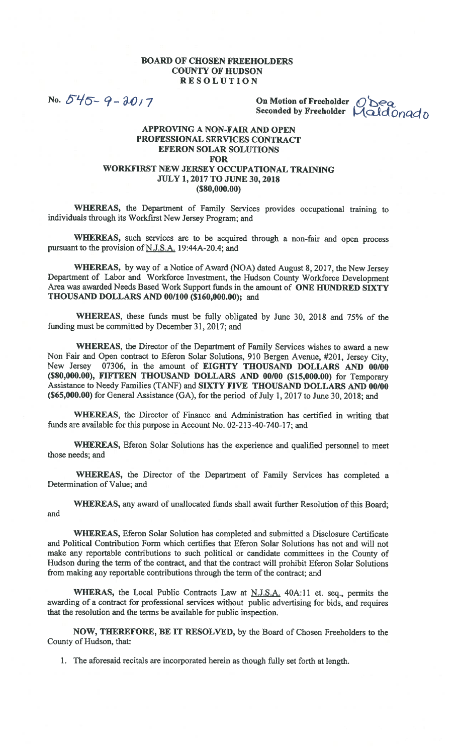## BOARD OF CHOSEN FREEHOLDERS COUNTY OF HUDSON RESOLUTION

No.  $545 - 9 - 2017$ 

On Motion of Freeholder  $\overline{O}$  Dea Seconded by Freeholder Maldonado

## APPROVING A NON-FAIR AND OPEN PROFESSIONAL SERVICES CONTRACT EFERON SOLAR SOLUTIONS FOR WORKFIRST NEW JERSEY OCCUPATIONAL TRAINING JULY 1, 2017 TO JUNE 30, 2018 (\$80,000.00)

WHEREAS, the Department of Family Services provides occupational training to individuals through its Workfirst New Jersey Program; and

WHEREAS, such services are to be acquired through a non-fair and open process pursuant to the provision of  $N.J.S.A.$  19:44A-20.4; and

WHEREAS, by way of a Notice of Award (NOA) dated August 8, 2017, the New Jersey Department of Labor and Workforce Investment, the Hudson County Workforce Development Area was awarded Needs Based Work Support funds in the amount of ONE HUNDRED SIXTY THOUSAND DOLLARS AND 00/100 (\$160,000.00); and

WHEREAS, these funds must be fully obligated by June 30, 2018 and 75% of the funding must be committed by December 31, 2017; and

WHEREAS, the Director of the Department of Family Services wishes to award a new Non Fair and Open contract to Eferon Solar Solutions, 910 Bergen Avenue, #201, Jersey City, New Jersey 07306, in the amount of EIGHTY THOUSAND DOLLARS AND 00/00 (\$80,000.00), FIFTEEN THOUSAND DOLLARS AND 00/00 (\$15,000.00) for Temporary Assistance to Needy Families (TANF) and SIXTY FIVE THOUSAND DOLLARS AND 00/00  $(S65,000.00)$  for General Assistance (GA), for the period of July 1, 2017 to June 30, 2018; and

WHEREAS, the Director of Finance and Administration has certified in writing that funds are available for this purpose in Account No. 02-213-40-740-17; and

WHEREAS, Eferon Solar Solutions has the experience and qualified personnel to meet those needs; and

WHEREAS, the Director of the Department of Family Services has completed a Determination of Value; and

WHEREAS, any award of unallocated funds shall await further Resolution of this Board; and

WHEREAS, Eferon Solar Solution has completed and submitted a Disclosure Certificate and Political Contribution Form which certifies that Eferon Solar Solutions has not and will not make any reportable contributions to such political or candidate committees in the County of Hudson during the term of the contract, and that the contract will prohibit Eferon Solar Solutions from making any reportable contributions through the term of the contract; and

WHERAS, the Local Public Contracts Law at N.J.S.A. 40A:11 et. seq., permits the awarding of a contract for professional services without public advertising for bids, and requires that the resolution and the terms be available for public inspection.

NOW, THEREFORE, BE IT RESOLVED, by the Board of Chosen Freeholders to the County of Hudson, that:

1. The aforesaid recitals are incorporated herein as though fully set forth at length.